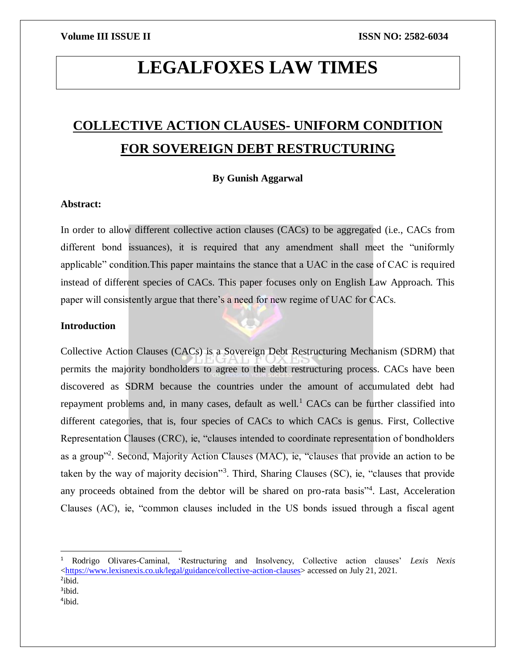# **LEGALFOXES LAW TIMES**

## **COLLECTIVE ACTION CLAUSES- UNIFORM CONDITION FOR SOVEREIGN DEBT RESTRUCTURING**

### **By Gunish Aggarwal**

### **Abstract:**

In order to allow different collective action clauses (CACs) to be aggregated (i.e., CACs from different bond issuances), it is required that any amendment shall meet the "uniformly applicable" condition.This paper maintains the stance that a UAC in the case of CAC is required instead of different species of CACs. This paper focuses only on English Law Approach. This paper will consistently argue that there's a need for new regime of UAC for CACs.

### **Introduction**

 $\overline{a}$ 

Collective Action Clauses (CACs) is a Sovereign Debt Restructuring Mechanism (SDRM) that permits the majority bondholders to agree to the debt restructuring process. CACs have been discovered as SDRM because the countries under the amount of accumulated debt had repayment problems and, in many cases, default as well.<sup>1</sup> CACs can be further classified into different categories, that is, four species of CACs to which CACs is genus. First, Collective Representation Clauses (CRC), ie, "clauses intended to coordinate representation of bondholders as a group"<sup>2</sup>. Second, Majority Action Clauses (MAC), ie, "clauses that provide an action to be taken by the way of majority decision"<sup>3</sup>. Third, Sharing Clauses (SC), ie, "clauses that provide any proceeds obtained from the debtor will be shared on pro-rata basis"<sup>4</sup>. Last, Acceleration Clauses (AC), ie, "common clauses included in the US bonds issued through a fiscal agent

<sup>1</sup> Rodrigo Olivares-Caminal, 'Restructuring and Insolvency, Collective action clauses' *Lexis Nexis*   $\langle$ https://www.lexisnexis.co.uk/legal/guidance/collective-action-clauses> accessed on July 21, 2021. <sup>2</sup>ibid. <sup>3</sup>ibid. 4 ibid.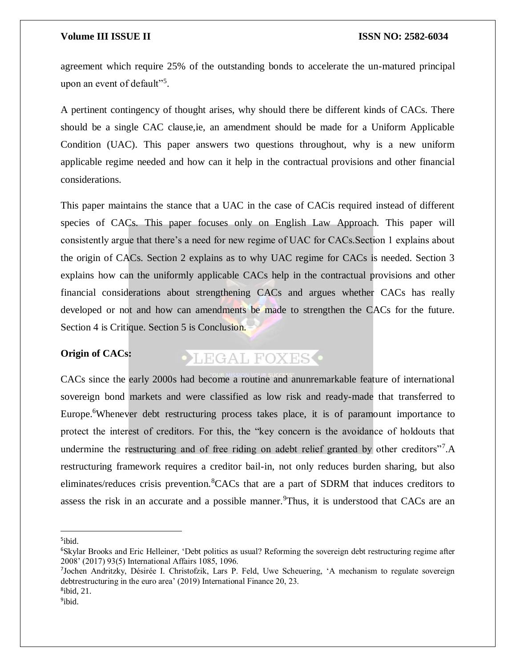agreement which require 25% of the outstanding bonds to accelerate the un-matured principal upon an event of default"<sup>5</sup>.

A pertinent contingency of thought arises, why should there be different kinds of CACs. There should be a single CAC clause,ie, an amendment should be made for a Uniform Applicable Condition (UAC). This paper answers two questions throughout, why is a new uniform applicable regime needed and how can it help in the contractual provisions and other financial considerations.

This paper maintains the stance that a UAC in the case of CACis required instead of different species of CACs. This paper focuses only on English Law Approach. This paper will consistently argue that there's a need for new regime of UAC for CACs.Section 1 explains about the origin of CACs. Section 2 explains as to why UAC regime for CACs is needed. Section 3 explains how can the uniformly applicable CACs help in the contractual provisions and other financial considerations about strengthening CACs and argues whether CACs has really developed or not and how can amendments be made to strengthen the CACs for the future. Section 4 is Critique. Section 5 is Conclusion.

### **Origin of CACs:**

## **OLEGAL FOXESO**

CACs since the early 2000s had become a routine and anunremarkable feature of international sovereign bond markets and were classified as low risk and ready-made that transferred to Europe.<sup>6</sup>Whenever debt restructuring process takes place, it is of paramount importance to protect the interest of creditors. For this, the "key concern is the avoidance of holdouts that undermine the restructuring and of free riding on adebt relief granted by other creditors"<sup>7</sup>.A restructuring framework requires a creditor bail-in, not only reduces burden sharing, but also eliminates/reduces crisis prevention. <sup>8</sup>CACs that are a part of SDRM that induces creditors to assess the risk in an accurate and a possible manner.<sup>9</sup>Thus, it is understood that CACs are an

5 ibid.

 $\overline{a}$ 

7 Jochen Andritzky, Désirée I. Christofzik, Lars P. Feld, Uwe Scheuering, 'A mechanism to regulate sovereign debtrestructuring in the euro area' (2019) International Finance 20, 23.

8 ibid, 21. <sup>9</sup>ibid.

<sup>&</sup>lt;sup>6</sup>Skylar Brooks and Eric Helleiner, 'Debt politics as usual? Reforming the sovereign debt restructuring regime after 2008' (2017) 93(5) International Affairs 1085, 1096.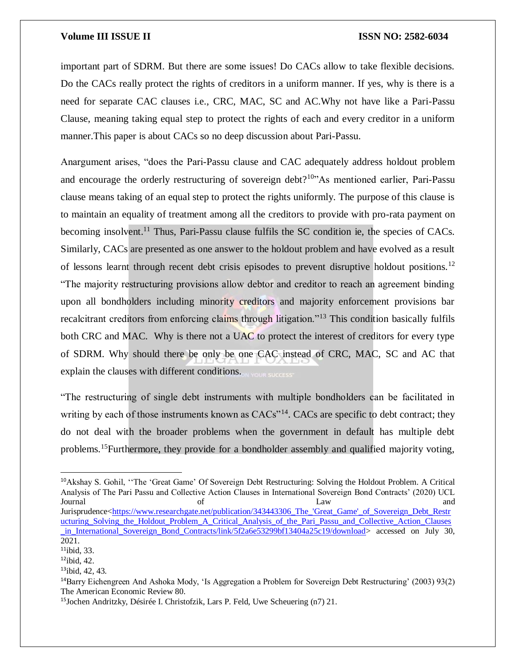important part of SDRM. But there are some issues! Do CACs allow to take flexible decisions. Do the CACs really protect the rights of creditors in a uniform manner. If yes, why is there is a need for separate CAC clauses i.e., CRC, MAC, SC and AC.Why not have like a Pari-Passu Clause, meaning taking equal step to protect the rights of each and every creditor in a uniform manner.This paper is about CACs so no deep discussion about Pari-Passu.

Anargument arises, "does the Pari-Passu clause and CAC adequately address holdout problem and encourage the orderly restructuring of sovereign debt?<sup>10</sup> As mentioned earlier, Pari-Passu clause means taking of an equal step to protect the rights uniformly. The purpose of this clause is to maintain an equality of treatment among all the creditors to provide with pro-rata payment on becoming insolvent.<sup>11</sup> Thus, Pari-Passu clause fulfils the SC condition ie, the species of CACs. Similarly, CACs are presented as one answer to the holdout problem and have evolved as a result of lessons learnt through recent debt crisis episodes to prevent disruptive holdout positions.<sup>12</sup> "The majority restructuring provisions allow debtor and creditor to reach an agreement binding upon all bondholders including minority creditors and majority enforcement provisions bar recalcitrant creditors from enforcing claims through litigation."<sup>13</sup> This condition basically fulfils both CRC and MAC. Why is there not a UAC to protect the interest of creditors for every type of SDRM. Why should there be only be one CAC instead of CRC, MAC, SC and AC that explain the clauses with different conditions.

"The restructuring of single debt instruments with multiple bondholders can be facilitated in writing by each of those instruments known as CACs<sup>"14</sup>. CACs are specific to debt contract; they do not deal with the broader problems when the government in default has multiple debt problems.<sup>15</sup>Furthermore, they provide for a bondholder assembly and qualified majority voting,

<sup>10</sup>Akshay S. Gohil, ''The 'Great Game' Of Sovereign Debt Restructuring: Solving the Holdout Problem. A Critical Analysis of The Pari Passu and Collective Action Clauses in International Sovereign Bond Contracts' (2020) UCL Journal of the Law and and Law and Law and Law and Law and Law and Law and Law and  $\Delta t = \Delta t$ Jurisprudence[<https://www.researchgate.net/publication/343443306\\_The\\_'Great\\_Game'\\_of\\_Sovereign\\_Debt\\_Restr](https://www.researchgate.net/publication/343443306_The_) [ucturing\\_Solving\\_the\\_Holdout\\_Problem\\_A\\_Critical\\_Analysis\\_of\\_the\\_Pari\\_Passu\\_and\\_Collective\\_Action\\_Clauses](https://www.researchgate.net/publication/343443306_The_) in International Sovereign Bond Contracts/link/5f2a6e53299bf13404a25c19/download> accessed on July 30, 2021.

 $11$ ibid, 33.

 $12$ ibid, 42.

<sup>13</sup>ibid, 42, 43.

<sup>14</sup>Barry Eichengreen And Ashoka Mody, 'Is Aggregation a Problem for Sovereign Debt Restructuring' (2003) 93(2) The American Economic Review 80.

<sup>&</sup>lt;sup>15</sup>Jochen Andritzky, Désirée I. Christofzik, Lars P. Feld, Uwe Scheuering (n7) 21.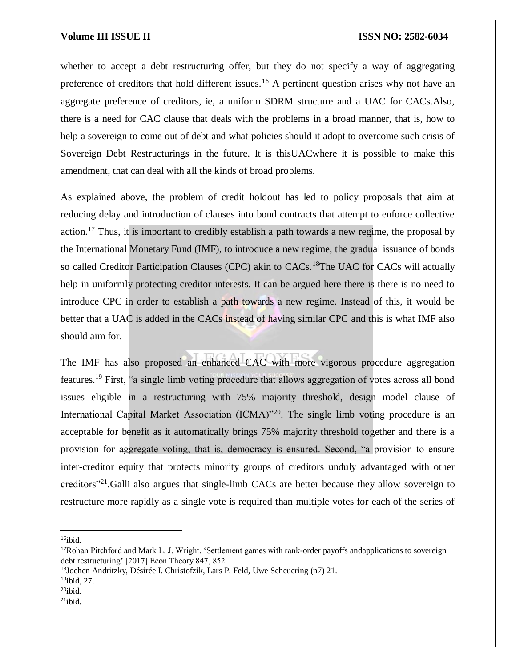whether to accept a debt restructuring offer, but they do not specify a way of aggregating preference of creditors that hold different issues.<sup>16</sup> A pertinent question arises why not have an aggregate preference of creditors, ie, a uniform SDRM structure and a UAC for CACs.Also, there is a need for CAC clause that deals with the problems in a broad manner, that is, how to help a sovereign to come out of debt and what policies should it adopt to overcome such crisis of Sovereign Debt Restructurings in the future. It is thisUACwhere it is possible to make this amendment, that can deal with all the kinds of broad problems.

As explained above, the problem of credit holdout has led to policy proposals that aim at reducing delay and introduction of clauses into bond contracts that attempt to enforce collective action.<sup>17</sup> Thus, it is important to credibly establish a path towards a new regime, the proposal by the International Monetary Fund (IMF), to introduce a new regime, the gradual issuance of bonds so called Creditor Participation Clauses (CPC) akin to CACs.<sup>18</sup>The UAC for CACs will actually help in uniformly protecting creditor interests. It can be argued here there is there is no need to introduce CPC in order to establish a path towards a new regime. Instead of this, it would be better that a UAC is added in the CACs instead of having similar CPC and this is what IMF also should aim for.

The IMF has also proposed an enhanced CAC with more vigorous procedure aggregation features.<sup>19</sup> First, "a single limb voting procedure that allows aggregation of votes across all bond issues eligible in a restructuring with 75% majority threshold, design model clause of International Capital Market Association (ICMA)<sup>320</sup>. The single limb voting procedure is an acceptable for benefit as it automatically brings 75% majority threshold together and there is a provision for aggregate voting, that is, democracy is ensured. Second, "a provision to ensure inter-creditor equity that protects minority groups of creditors unduly advantaged with other creditors"<sup>21</sup>.Galli also argues that single-limb CACs are better because they allow sovereign to restructure more rapidly as a single vote is required than multiple votes for each of the series of

 $16$ ibid.

 $\overline{a}$ 

<sup>&</sup>lt;sup>17</sup>Rohan Pitchford and Mark L. J. Wright, 'Settlement games with rank-order payoffs andapplications to sovereign debt restructuring' [2017] Econ Theory 847, 852.

<sup>18</sup>Jochen Andritzky, Désirée I. Christofzik, Lars P. Feld, Uwe Scheuering (n7) 21.

 $19$ ibid, 27.

 $20$ ibid.

 $21$ ibid.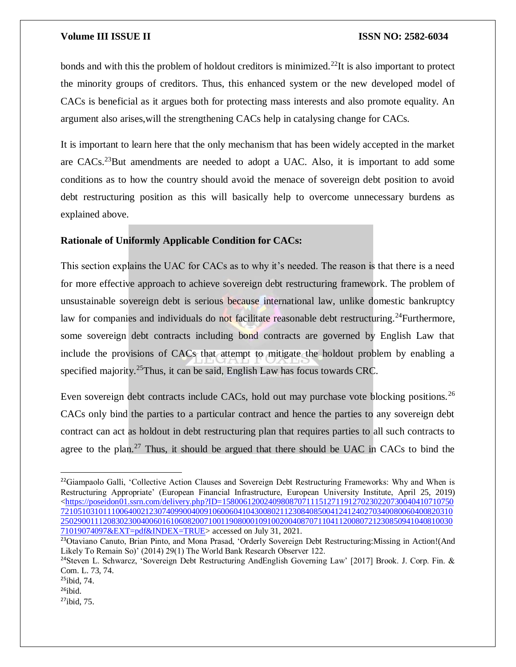bonds and with this the problem of holdout creditors is minimized.<sup>22</sup>It is also important to protect the minority groups of creditors. Thus, this enhanced system or the new developed model of CACs is beneficial as it argues both for protecting mass interests and also promote equality. An argument also arises,will the strengthening CACs help in catalysing change for CACs.

It is important to learn here that the only mechanism that has been widely accepted in the market are CACs.<sup>23</sup>But amendments are needed to adopt a UAC. Also, it is important to add some conditions as to how the country should avoid the menace of sovereign debt position to avoid debt restructuring position as this will basically help to overcome unnecessary burdens as explained above.

### **Rationale of Uniformly Applicable Condition for CACs:**

This section explains the UAC for CACs as to why it's needed. The reason is that there is a need for more effective approach to achieve sovereign debt restructuring framework. The problem of unsustainable sovereign debt is serious because international law, unlike domestic bankruptcy law for companies and individuals do not facilitate reasonable debt restructuring.<sup>24</sup>Furthermore, some sovereign debt contracts including bond contracts are governed by English Law that include the provisions of CACs that attempt to mitigate the holdout problem by enabling a specified majority.<sup>25</sup>Thus, it can be said, English Law has focus towards CRC.

Even sovereign debt contracts include CACs, hold out may purchase vote blocking positions.<sup>26</sup> CACs only bind the parties to a particular contract and hence the parties to any sovereign debt contract can act as holdout in debt restructuring plan that requires parties to all such contracts to agree to the plan.<sup>27</sup> Thus, it should be argued that there should be UAC in CACs to bind the

<sup>&</sup>lt;sup>22</sup>Giampaolo Galli, 'Collective Action Clauses and Sovereign Debt Restructuring Frameworks: Why and When is Restructuring Appropriate' (European Financial Infrastructure, European University Institute, April 25, 2019) [<https://poseidon01.ssrn.com/delivery.php?ID=1580061200240980870711151271191270230220730040410710750](https://poseidon01.ssrn.com/delivery.php?ID=158006120024098087071115127119127023022073004041071075072105103101110064002123074099004009106006041043008021123084085004124124027034008006040082031025029001112083023004006016106082007100119080001091002004087071104112008072123085094104081003071019074097&EXT=pdf&INDEX=TRUE) [721051031011100640021230740990040091060060410430080211230840850041241240270340080060400820310](https://poseidon01.ssrn.com/delivery.php?ID=158006120024098087071115127119127023022073004041071075072105103101110064002123074099004009106006041043008021123084085004124124027034008006040082031025029001112083023004006016106082007100119080001091002004087071104112008072123085094104081003071019074097&EXT=pdf&INDEX=TRUE) [250290011120830230040060161060820071001190800010910020040870711041120080721230850941040810030](https://poseidon01.ssrn.com/delivery.php?ID=158006120024098087071115127119127023022073004041071075072105103101110064002123074099004009106006041043008021123084085004124124027034008006040082031025029001112083023004006016106082007100119080001091002004087071104112008072123085094104081003071019074097&EXT=pdf&INDEX=TRUE) [71019074097&EXT=pdf&INDEX=TRUE>](https://poseidon01.ssrn.com/delivery.php?ID=158006120024098087071115127119127023022073004041071075072105103101110064002123074099004009106006041043008021123084085004124124027034008006040082031025029001112083023004006016106082007100119080001091002004087071104112008072123085094104081003071019074097&EXT=pdf&INDEX=TRUE) accessed on July 31, 2021.

<sup>23</sup>Otaviano Canuto, Brian Pinto, and Mona Prasad, 'Orderly Sovereign Debt Restructuring:Missing in Action!(And Likely To Remain So)' (2014) 29(1) The World Bank Research Observer 122.

<sup>&</sup>lt;sup>24</sup>Steven L. Schwarcz, 'Sovereign Debt Restructuring AndEnglish Governing Law' [2017] Brook. J. Corp. Fin. & Com. L. 73, 74.

 $25$ ibid, 74.

 $26$ ibid.

 $27$ ibid, 75.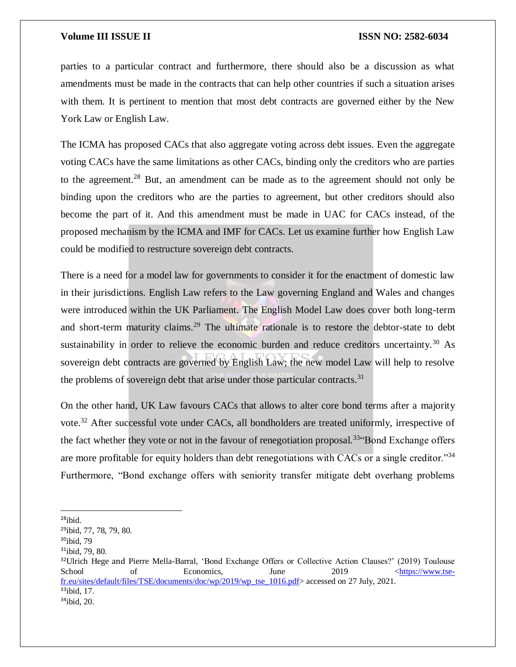parties to a particular contract and furthermore, there should also be a discussion as what amendments must be made in the contracts that can help other countries if such a situation arises with them. It is pertinent to mention that most debt contracts are governed either by the New York Law or English Law.

The ICMA has proposed CACs that also aggregate voting across debt issues. Even the aggregate voting CACs have the same limitations as other CACs, binding only the creditors who are parties to the agreement.<sup>28</sup> But, an amendment can be made as to the agreement should not only be binding upon the creditors who are the parties to agreement, but other creditors should also become the part of it. And this amendment must be made in UAC for CACs instead, of the proposed mechanism by the ICMA and IMF for CACs. Let us examine further how English Law could be modified to restructure sovereign debt contracts.

There is a need for a model law for governments to consider it for the enactment of domestic law in their jurisdictions. English Law refers to the Law governing England and Wales and changes were introduced within the UK Parliament. The English Model Law does cover both long-term and short-term maturity claims.<sup>29</sup> The ultimate rationale is to restore the debtor-state to debt sustainability in order to relieve the economic burden and reduce creditors uncertainty.<sup>30</sup> As sovereign debt contracts are governed by English Law; the new model Law will help to resolve the problems of sovereign debt that arise under those particular contracts. $31$ 

On the other hand, UK Law favours CACs that allows to alter core bond terms after a majority vote.<sup>32</sup> After successful vote under CACs, all bondholders are treated uniformly, irrespective of the fact whether they vote or not in the favour of renegotiation proposal.<sup>33</sup> Bond Exchange offers are more profitable for equity holders than debt renegotiations with CACs or a single creditor."<sup>34</sup> Furthermore, "Bond exchange offers with seniority transfer mitigate debt overhang problems

 $28$ ibid.

<sup>29</sup>ibid, 77, 78, 79, 80.

<sup>30</sup>ibid, 79

<sup>&</sup>lt;sup>31</sup>ibid, 79, 80.

<sup>&</sup>lt;sup>32</sup>Ulrich Hege and Pierre Mella-Barral, 'Bond Exchange Offers or Collective Action Clauses?' (2019) Toulouse School of Economics, June 2019 [<https://www.tse](https://www.tse-fr.eu/sites/default/files/TSE/documents/doc/wp/2019/wp_tse_1016.pdf)[fr.eu/sites/default/files/TSE/documents/doc/wp/2019/wp\\_tse\\_1016.pdf>](https://www.tse-fr.eu/sites/default/files/TSE/documents/doc/wp/2019/wp_tse_1016.pdf) accessed on 27 July, 2021.  $33$ ibid, 17.

 $34$ ibid, 20.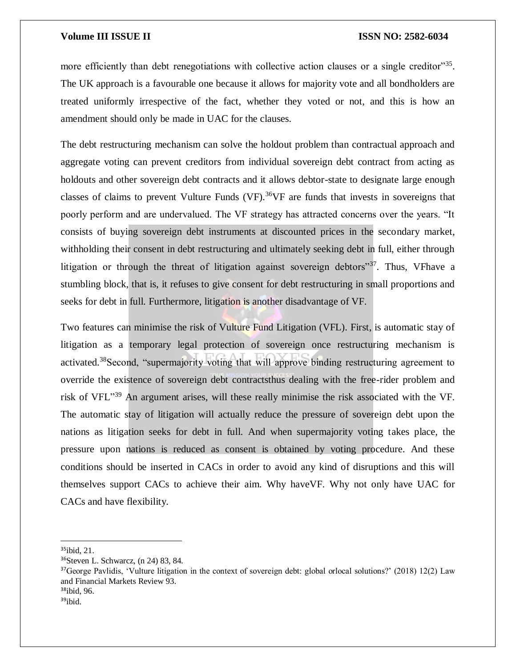more efficiently than debt renegotiations with collective action clauses or a single creditor"<sup>35</sup>. The UK approach is a favourable one because it allows for majority vote and all bondholders are treated uniformly irrespective of the fact, whether they voted or not, and this is how an amendment should only be made in UAC for the clauses.

The debt restructuring mechanism can solve the holdout problem than contractual approach and aggregate voting can prevent creditors from individual sovereign debt contract from acting as holdouts and other sovereign debt contracts and it allows debtor-state to designate large enough classes of claims to prevent Vulture Funds (VF).<sup>36</sup>VF are funds that invests in sovereigns that poorly perform and are undervalued. The VF strategy has attracted concerns over the years. "It consists of buying sovereign debt instruments at discounted prices in the secondary market, withholding their consent in debt restructuring and ultimately seeking debt in full, either through litigation or through the threat of litigation against sovereign debtors"<sup>37</sup>. Thus, VFhave a stumbling block, that is, it refuses to give consent for debt restructuring in small proportions and seeks for debt in full. Furthermore, litigation is another disadvantage of VF.

Two features can minimise the risk of Vulture Fund Litigation (VFL). First, is automatic stay of litigation as a temporary legal protection of sovereign once restructuring mechanism is activated.<sup>38</sup>Second, "supermajority voting that will approve binding restructuring agreement to override the existence of sovereign debt contractsthus dealing with the free-rider problem and risk of VFL<sup>"39</sup> An argument arises, will these really minimise the risk associated with the VF. The automatic stay of litigation will actually reduce the pressure of sovereign debt upon the nations as litigation seeks for debt in full. And when supermajority voting takes place, the pressure upon nations is reduced as consent is obtained by voting procedure. And these conditions should be inserted in CACs in order to avoid any kind of disruptions and this will themselves support CACs to achieve their aim. Why haveVF. Why not only have UAC for CACs and have flexibility.

 $\overline{\phantom{a}}$ 

 $39$ ibid.

 $35$ ibid, 21.

<sup>36</sup>Steven L. Schwarcz, (n 24) 83, 84.

<sup>&</sup>lt;sup>37</sup>George Pavlidis, 'Vulture litigation in the context of sovereign debt: global orlocal solutions?' (2018) 12(2) Law and Financial Markets Review 93. <sup>38</sup>ibid, 96.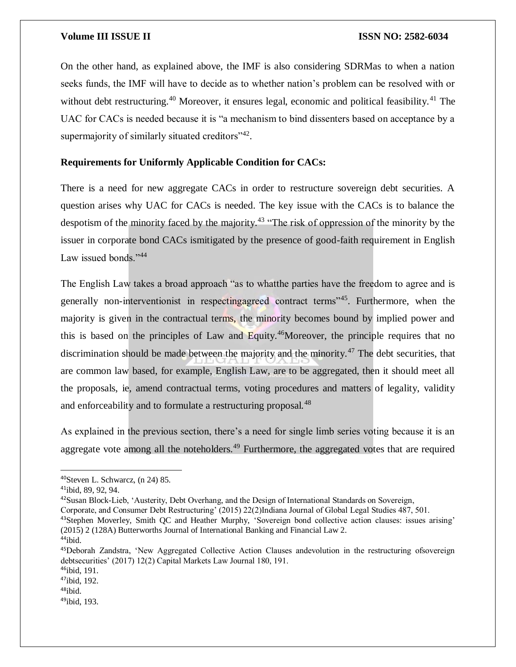On the other hand, as explained above, the IMF is also considering SDRMas to when a nation seeks funds, the IMF will have to decide as to whether nation's problem can be resolved with or without debt restructuring.<sup>40</sup> Moreover, it ensures legal, economic and political feasibility.<sup>41</sup> The UAC for CACs is needed because it is "a mechanism to bind dissenters based on acceptance by a supermajority of similarly situated creditors" $42$ .

### **Requirements for Uniformly Applicable Condition for CACs:**

There is a need for new aggregate CACs in order to restructure sovereign debt securities. A question arises why UAC for CACs is needed. The key issue with the CACs is to balance the despotism of the minority faced by the majority.<sup>43</sup> "The risk of oppression of the minority by the issuer in corporate bond CACs ismitigated by the presence of good-faith requirement in English Law issued bonds."<sup>44</sup>

The English Law takes a broad approach "as to whatthe parties have the freedom to agree and is generally non-interventionist in respectingagreed contract terms"<sup>45</sup>. Furthermore, when the majority is given in the contractual terms, the minority becomes bound by implied power and this is based on the principles of Law and Equity.<sup>46</sup>Moreover, the principle requires that no discrimination should be made between the majority and the minority.<sup>47</sup> The debt securities, that are common law based, for example, English Law, are to be aggregated, then it should meet all the proposals, ie, amend contractual terms, voting procedures and matters of legality, validity and enforceability and to formulate a restructuring proposal.<sup>48</sup>

As explained in the previous section, there's a need for single limb series voting because it is an aggregate vote among all the noteholders.<sup>49</sup> Furthermore, the aggregated votes that are required

<sup>42</sup>Susan Block-Lieb, 'Austerity, Debt Overhang, and the Design of International Standards on Sovereign,

<sup>43</sup>Stephen Moverley, Smith QC and Heather Murphy, 'Sovereign bond collective action clauses: issues arising' (2015) 2 (128A) Butterworths Journal of International Banking and Financial Law 2.

<sup>40</sup>Steven L. Schwarcz, (n 24) 85.

<sup>41</sup>ibid, 89, 92, 94.

Corporate, and Consumer Debt Restructuring' (2015) 22(2)Indiana Journal of Global Legal Studies 487, 501.

<sup>44</sup>ibid.

<sup>45</sup>Deborah Zandstra, 'New Aggregated Collective Action Clauses andevolution in the restructuring ofsovereign debtsecurities' (2017) 12(2) Capital Markets Law Journal 180, 191.

 $46$ ibid, 191.

<sup>47</sup>ibid, 192.

<sup>48</sup>ibid.

<sup>49</sup>ibid, 193.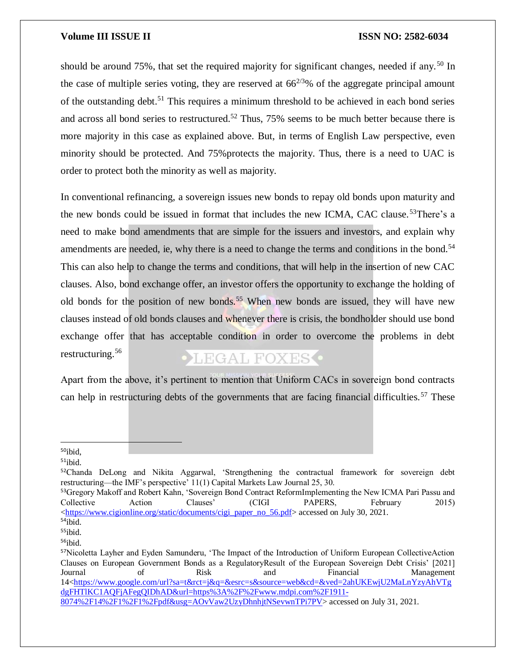should be around 75%, that set the required majority for significant changes, needed if any.<sup>50</sup> In the case of multiple series voting, they are reserved at  $66^{2/3}\%$  of the aggregate principal amount of the outstanding debt.<sup>51</sup> This requires a minimum threshold to be achieved in each bond series and across all bond series to restructured.<sup>52</sup> Thus,  $75\%$  seems to be much better because there is more majority in this case as explained above. But, in terms of English Law perspective, even minority should be protected. And 75%protects the majority. Thus, there is a need to UAC is order to protect both the minority as well as majority.

In conventional refinancing, a sovereign issues new bonds to repay old bonds upon maturity and the new bonds could be issued in format that includes the new ICMA, CAC clause.<sup>53</sup>There's a need to make bond amendments that are simple for the issuers and investors, and explain why amendments are needed, ie, why there is a need to change the terms and conditions in the bond.<sup>54</sup> This can also help to change the terms and conditions, that will help in the insertion of new CAC clauses. Also, bond exchange offer, an investor offers the opportunity to exchange the holding of old bonds for the position of new bonds.<sup>55</sup> When new bonds are issued, they will have new clauses instead of old bonds clauses and whenever there is crisis, the bondholder should use bond exchange offer that has acceptable condition in order to overcome the problems in debt restructuring. 56 **OLEGAL FOXES** 

Apart from the above, it's pertinent to mention that Uniform CACs in sovereign bond contracts can help in restructuring debts of the governments that are facing financial difficulties.<sup>57</sup> These

<sup>50</sup>ibid,

 $\overline{a}$ 

 $51$ ibid.

<sup>&</sup>lt;sup>52</sup>Chanda DeLong and Nikita Aggarwal, 'Strengthening the contractual framework for sovereign debt restructuring—the IMF's perspective' 11(1) Capital Markets Law Journal 25, 30.

<sup>&</sup>lt;sup>53</sup>Gregory Makoff and Robert Kahn, 'Sovereign Bond Contract ReformImplementing the New ICMA Pari Passu and Collective Action Clauses' (CIGI PAPERS, February 2015)  $\langle$ https://www.cigionline.org/static/documents/cigi\_paper\_no\_56.pdf> accessed on July 30, 2021.

<sup>54</sup>ibid.

<sup>55</sup>ibid.

<sup>56</sup>ibid.

<sup>57</sup>Nicoletta Layher and Eyden Samunderu, 'The Impact of the Introduction of Uniform European CollectiveAction Clauses on European Government Bonds as a RegulatoryResult of the European Sovereign Debt Crisis' [2021] Journal of Risk and Financial Management 14[<https://www.google.com/url?sa=t&rct=j&q=&esrc=s&source=web&cd=&ved=2ahUKEwjU2MaLnYzyAhVTg](https://www.google.com/url?sa=t&rct=j&q=&esrc=s&source=web&cd=&ved=2ahUKEwjU2MaLnYzyAhVTgdgFHTlKC1AQFjAFegQIDhAD&url=https%3A%2F%2Fwww.mdpi.com%2F1911-8074%2F14%2F1%2F1%2Fpdf&usg=AOvVaw2UzyDhnhjtNSevwnTPi7PV) [dgFHTlKC1AQFjAFegQIDhAD&url=https%3A%2F%2Fwww.mdpi.com%2F1911-](https://www.google.com/url?sa=t&rct=j&q=&esrc=s&source=web&cd=&ved=2ahUKEwjU2MaLnYzyAhVTgdgFHTlKC1AQFjAFegQIDhAD&url=https%3A%2F%2Fwww.mdpi.com%2F1911-8074%2F14%2F1%2F1%2Fpdf&usg=AOvVaw2UzyDhnhjtNSevwnTPi7PV) [8074%2F14%2F1%2F1%2Fpdf&usg=AOvVaw2UzyDhnhjtNSevwnTPi7PV>](https://www.google.com/url?sa=t&rct=j&q=&esrc=s&source=web&cd=&ved=2ahUKEwjU2MaLnYzyAhVTgdgFHTlKC1AQFjAFegQIDhAD&url=https%3A%2F%2Fwww.mdpi.com%2F1911-8074%2F14%2F1%2F1%2Fpdf&usg=AOvVaw2UzyDhnhjtNSevwnTPi7PV) accessed on July 31, 2021.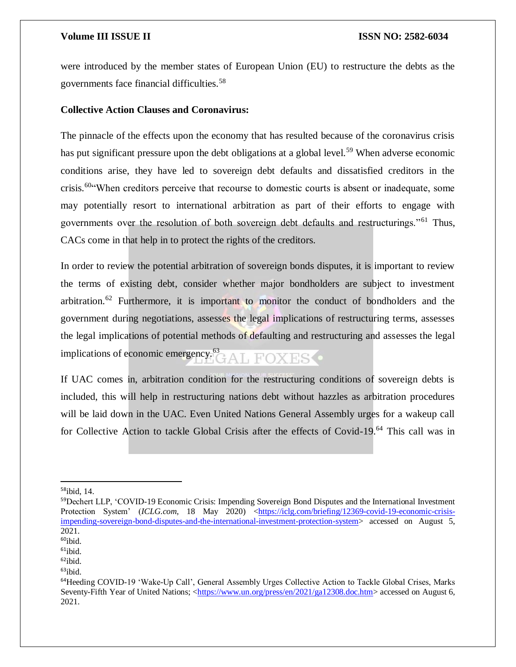were introduced by the member states of European Union (EU) to restructure the debts as the governments face financial difficulties.<sup>58</sup>

### **Collective Action Clauses and Coronavirus:**

The pinnacle of the effects upon the economy that has resulted because of the coronavirus crisis has put significant pressure upon the debt obligations at a global level.<sup>59</sup> When adverse economic conditions arise, they have led to sovereign debt defaults and dissatisfied creditors in the crisis.<sup>60"</sup>When creditors perceive that recourse to domestic courts is absent or inadequate, some may potentially resort to international arbitration as part of their efforts to engage with governments over the resolution of both sovereign debt defaults and restructurings."<sup>61</sup> Thus, CACs come in that help in to protect the rights of the creditors.

In order to review the potential arbitration of sovereign bonds disputes, it is important to review the terms of existing debt, consider whether major bondholders are subject to investment arbitration.<sup>62</sup> Furthermore, it is important to monitor the conduct of bondholders and the government during negotiations, assesses the legal implications of restructuring terms, assesses the legal implications of potential methods of defaulting and restructuring and assesses the legal implications of economic emergency.<sup>63</sup> L FOXES O

If UAC comes in, arbitration condition for the restructuring conditions of sovereign debts is included, this will help in restructuring nations debt without hazzles as arbitration procedures will be laid down in the UAC. Even United Nations General Assembly urges for a wakeup call for Collective Action to tackle Global Crisis after the effects of Covid-19.<sup>64</sup> This call was in

<sup>58</sup>ibid, 14.

<sup>59</sup>Dechert LLP, 'COVID-19 Economic Crisis: Impending Sovereign Bond Disputes and the International Investment Protection System' (*ICLG.com*, 18 May 2020) [<https://iclg.com/briefing/12369-covid-19-economic-crisis](https://iclg.com/briefing/12369-covid-19-economic-crisis-impending-sovereign-bond-disputes-and-the-international-investment-protection-system)[impending-sovereign-bond-disputes-and-the-international-investment-protection-system>](https://iclg.com/briefing/12369-covid-19-economic-crisis-impending-sovereign-bond-disputes-and-the-international-investment-protection-system) accessed on August 5, 2021.

 $60$ ibid.

 $61$ ibid.

 $62$ ibid.

 $63$ ibid.

<sup>&</sup>lt;sup>64</sup>Heeding COVID-19 'Wake-Up Call', General Assembly Urges Collective Action to Tackle Global Crises, Marks Seventy-Fifth Year of United Nations; [<https://www.un.org/press/en/2021/ga12308.doc.htm>](https://www.un.org/press/en/2021/ga12308.doc.htm) accessed on August 6, 2021.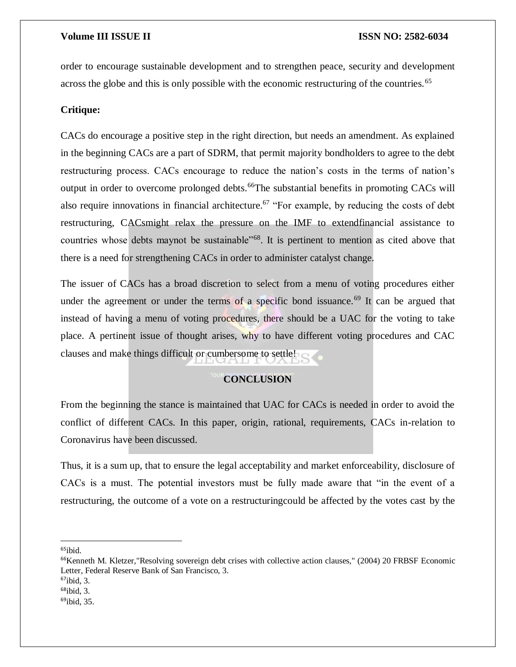order to encourage sustainable development and to strengthen peace, security and development across the globe and this is only possible with the economic restructuring of the countries.<sup>65</sup>

### **Critique:**

CACs do encourage a positive step in the right direction, but needs an amendment. As explained in the beginning CACs are a part of SDRM, that permit majority bondholders to agree to the debt restructuring process. CACs encourage to reduce the nation's costs in the terms of nation's output in order to overcome prolonged debts.<sup>66</sup>The substantial benefits in promoting CACs will also require innovations in financial architecture.<sup>67</sup> "For example, by reducing the costs of debt restructuring, CACsmight relax the pressure on the IMF to extendfinancial assistance to countries whose debts maynot be sustainable"<sup>68</sup>. It is pertinent to mention as cited above that there is a need for strengthening CACs in order to administer catalyst change.

The issuer of CACs has a broad discretion to select from a menu of voting procedures either under the agreement or under the terms of a specific bond issuance.<sup>69</sup> It can be argued that instead of having a menu of voting procedures, there should be a UAC for the voting to take place. A pertinent issue of thought arises, why to have different voting procedures and CAC clauses and make things difficult or cumbersome to settle!

### **CONCLUSION**

From the beginning the stance is maintained that UAC for CACs is needed in order to avoid the conflict of different CACs. In this paper, origin, rational, requirements, CACs in-relation to Coronavirus have been discussed.

Thus, it is a sum up, that to ensure the legal acceptability and market enforceability, disclosure of CACs is a must. The potential investors must be fully made aware that "in the event of a restructuring, the outcome of a vote on a restructuringcould be affected by the votes cast by the

 $\overline{\phantom{a}}$  $65$ ibid.

<sup>&</sup>lt;sup>66</sup>Kenneth M. Kletzer, "Resolving sovereign debt crises with collective action clauses," (2004) 20 FRBSF Economic Letter, Federal Reserve Bank of San Francisco, 3.

<sup>67</sup>ibid, 3.

 $68$ ibid, 3.

 $69$ ibid, 35.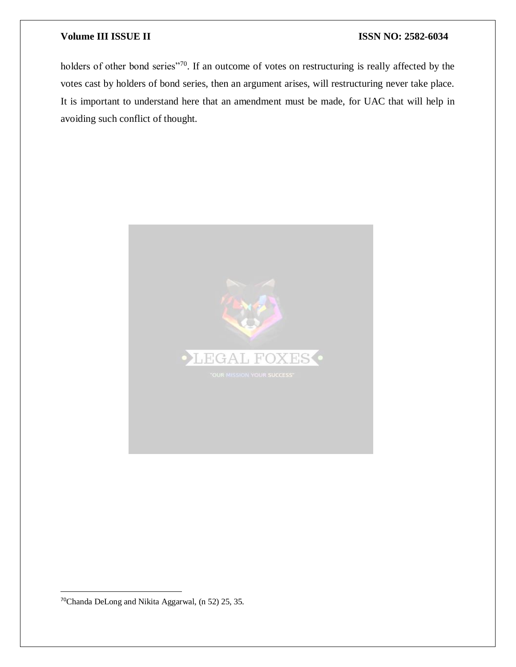holders of other bond series"<sup>70</sup>. If an outcome of votes on restructuring is really affected by the votes cast by holders of bond series, then an argument arises, will restructuring never take place. It is important to understand here that an amendment must be made, for UAC that will help in avoiding such conflict of thought.



70Chanda DeLong and Nikita Aggarwal, (n 52) 25, 35.

 $\overline{a}$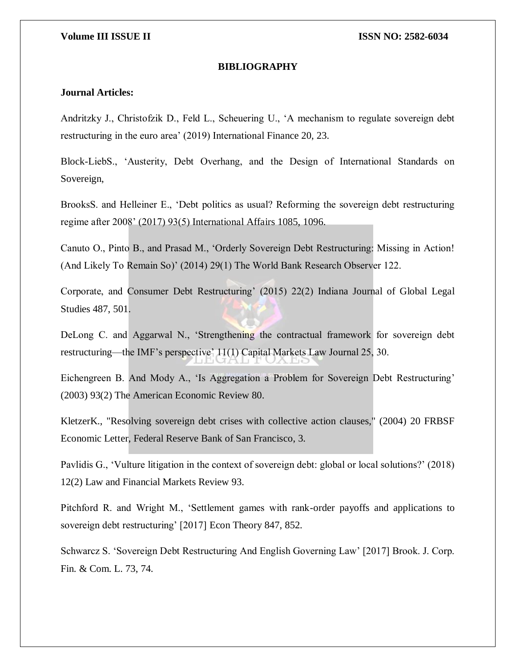### **BIBLIOGRAPHY**

### **Journal Articles:**

Andritzky J., Christofzik D., Feld L., Scheuering U., 'A mechanism to regulate sovereign debt restructuring in the euro area' (2019) International Finance 20, 23.

Block-LiebS., 'Austerity, Debt Overhang, and the Design of International Standards on Sovereign,

BrooksS. and Helleiner E., 'Debt politics as usual? Reforming the sovereign debt restructuring regime after 2008' (2017) 93(5) International Affairs 1085, 1096.

Canuto O., Pinto B., and Prasad M., 'Orderly Sovereign Debt Restructuring: Missing in Action! (And Likely To Remain So)' (2014) 29(1) The World Bank Research Observer 122.

Corporate, and Consumer Debt Restructuring' (2015) 22(2) Indiana Journal of Global Legal Studies 487, 501.

DeLong C. and Aggarwal N., 'Strengthening the contractual framework for sovereign debt restructuring—the IMF's perspective' 11(1) Capital Markets Law Journal 25, 30.

Eichengreen B. And Mody A., 'Is Aggregation a Problem for Sovereign Debt Restructuring' (2003) 93(2) The American Economic Review 80.

KletzerK., "Resolving sovereign debt crises with collective action clauses," (2004) 20 FRBSF Economic Letter, Federal Reserve Bank of San Francisco, 3.

Pavlidis G., 'Vulture litigation in the context of sovereign debt: global or local solutions?' (2018) 12(2) Law and Financial Markets Review 93.

Pitchford R. and Wright M., 'Settlement games with rank-order payoffs and applications to sovereign debt restructuring' [2017] Econ Theory 847, 852.

Schwarcz S. 'Sovereign Debt Restructuring And English Governing Law' [2017] Brook. J. Corp. Fin. & Com. L. 73, 74.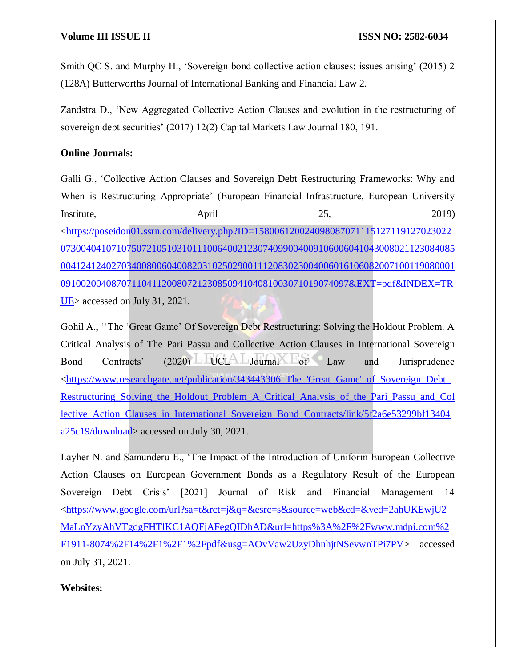Smith QC S. and Murphy H., 'Sovereign bond collective action clauses: issues arising' (2015) 2 (128A) Butterworths Journal of International Banking and Financial Law 2.

Zandstra D., 'New Aggregated Collective Action Clauses and evolution in the restructuring of sovereign debt securities' (2017) 12(2) Capital Markets Law Journal 180, 191.

### **Online Journals:**

Galli G., 'Collective Action Clauses and Sovereign Debt Restructuring Frameworks: Why and When is Restructuring Appropriate' (European Financial Infrastructure, European University Institute, April 25, 2019) [<https://poseidon01.ssrn.com/delivery.php?ID=158006120024098087071115127119127023022](https://poseidon01.ssrn.com/delivery.php?ID=158006120024098087071115127119127023022073004041071075072105103101110064002123074099004009106006041043008021123084085004124124027034008006040082031025029001112083023004006016106082007100119080001091002004087071104112008072123085094104081003071019074097&EXT=pdf&INDEX=TRUE) [073004041071075072105103101110064002123074099004009106006041043008021123084085](https://poseidon01.ssrn.com/delivery.php?ID=158006120024098087071115127119127023022073004041071075072105103101110064002123074099004009106006041043008021123084085004124124027034008006040082031025029001112083023004006016106082007100119080001091002004087071104112008072123085094104081003071019074097&EXT=pdf&INDEX=TRUE) [004124124027034008006040082031025029001112083023004006016106082007100119080001](https://poseidon01.ssrn.com/delivery.php?ID=158006120024098087071115127119127023022073004041071075072105103101110064002123074099004009106006041043008021123084085004124124027034008006040082031025029001112083023004006016106082007100119080001091002004087071104112008072123085094104081003071019074097&EXT=pdf&INDEX=TRUE) [091002004087071104112008072123085094104081003071019074097&EXT=pdf&INDEX=TR](https://poseidon01.ssrn.com/delivery.php?ID=158006120024098087071115127119127023022073004041071075072105103101110064002123074099004009106006041043008021123084085004124124027034008006040082031025029001112083023004006016106082007100119080001091002004087071104112008072123085094104081003071019074097&EXT=pdf&INDEX=TRUE) UE accessed on July 31, 2021.

Gohil A., ''The 'Great Game' Of Sovereign Debt Restructuring: Solving the Holdout Problem. A Critical Analysis of The Pari Passu and Collective Action Clauses in International Sovereign Bond Contracts' (2020) UCL Journal of Law and Jurisprudence [<https://www.researchgate.net/publication/343443306\\_The\\_'Great\\_Game'\\_of\\_Sovereign\\_Debt\\_](https://www.researchgate.net/publication/343443306_The_) [Restructuring\\_Solving\\_the\\_Holdout\\_Problem\\_A\\_Critical\\_Analysis\\_of\\_the\\_Pari\\_Passu\\_and\\_Col](https://www.researchgate.net/publication/343443306_The_) [lective\\_Action\\_Clauses\\_in\\_International\\_Sovereign\\_Bond\\_Contracts/link/5f2a6e53299bf13404](https://www.researchgate.net/publication/343443306_The_) [a25c19/download>](https://www.researchgate.net/publication/343443306_The_) accessed on July 30, 2021.

Layher N. and Samunderu E., 'The Impact of the Introduction of Uniform European Collective Action Clauses on European Government Bonds as a Regulatory Result of the European Sovereign Debt Crisis' [2021] Journal of Risk and Financial Management 14 [<https://www.google.com/url?sa=t&rct=j&q=&esrc=s&source=web&cd=&ved=2ahUKEwjU2](https://www.google.com/url?sa=t&rct=j&q=&esrc=s&source=web&cd=&ved=2ahUKEwjU2MaLnYzyAhVTgdgFHTlKC1AQFjAFegQIDhAD&url=https%3A%2F%2Fwww.mdpi.com%2F1911-8074%2F14%2F1%2F1%2Fpdf&usg=AOvVaw2UzyDhnhjtNSevwnTPi7PV) [MaLnYzyAhVTgdgFHTlKC1AQFjAFegQIDhAD&url=https%3A%2F%2Fwww.mdpi.com%2](https://www.google.com/url?sa=t&rct=j&q=&esrc=s&source=web&cd=&ved=2ahUKEwjU2MaLnYzyAhVTgdgFHTlKC1AQFjAFegQIDhAD&url=https%3A%2F%2Fwww.mdpi.com%2F1911-8074%2F14%2F1%2F1%2Fpdf&usg=AOvVaw2UzyDhnhjtNSevwnTPi7PV) [F1911-8074%2F14%2F1%2F1%2Fpdf&usg=AOvVaw2UzyDhnhjtNSevwnTPi7PV>](https://www.google.com/url?sa=t&rct=j&q=&esrc=s&source=web&cd=&ved=2ahUKEwjU2MaLnYzyAhVTgdgFHTlKC1AQFjAFegQIDhAD&url=https%3A%2F%2Fwww.mdpi.com%2F1911-8074%2F14%2F1%2F1%2Fpdf&usg=AOvVaw2UzyDhnhjtNSevwnTPi7PV) accessed on July 31, 2021.

**Websites:**